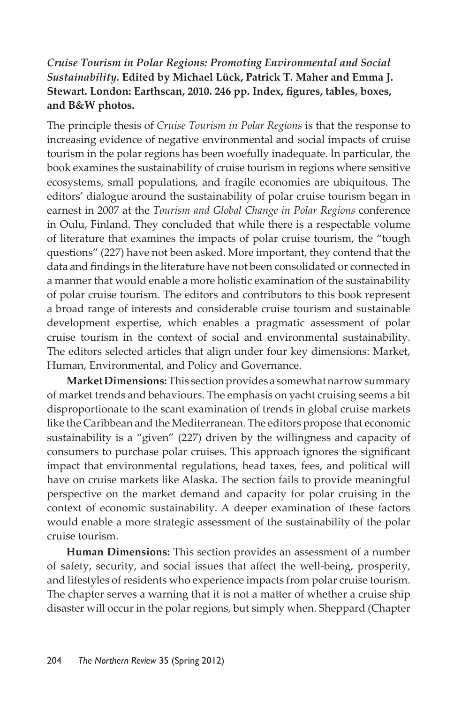## *Cruise Tourism in Polar Regions: Promoting Environmental and Social Sustainability.* **Edited by Michael Lück, Patrick T. Maher and Emma J. Stewart. London: Earthscan, 2010. 246 pp. Index, figures, tables, boxes, and B&W photos.**

The principle thesis of *Cruise Tourism in Polar Regions* is that the response to increasing evidence of negative environmental and social impacts of cruise tourism in the polar regions has been woefully inadequate. In particular, the book examines the sustainability of cruise tourism in regions where sensitive ecosystems, small populations, and fragile economies are ubiquitous. The editors' dialogue around the sustainability of polar cruise tourism began in earnest in 2007 at the *Tourism and Global Change in Polar Regions* conference in Oulu, Finland. They concluded that while there is a respectable volume of literature that examines the impacts of polar cruise tourism, the "tough questions" (227) have not been asked. More important, they contend that the data and findings in the literature have not been consolidated or connected in a manner that would enable a more holistic examination of the sustainability of polar cruise tourism. The editors and contributors to this book represent a broad range of interests and considerable cruise tourism and sustainable development expertise, which enables a pragmatic assessment of polar cruise tourism in the context of social and environmental sustainability. The editors selected articles that align under four key dimensions: Market, Human, Environmental, and Policy and Governance.

**Market Dimensions:** This section provides a somewhat narrow summary of market trends and behaviours. The emphasis on yacht cruising seems a bit disproportionate to the scant examination of trends in global cruise markets like the Caribbean and the Mediterranean. The editors propose that economic sustainability is a "given" (227) driven by the willingness and capacity of consumers to purchase polar cruises. This approach ignores the significant impact that environmental regulations, head taxes, fees, and political will have on cruise markets like Alaska. The section fails to provide meaningful perspective on the market demand and capacity for polar cruising in the context of economic sustainability. A deeper examination of these factors would enable a more strategic assessment of the sustainability of the polar cruise tourism.

**Human Dimensions:** This section provides an assessment of a number of safety, security, and social issues that affect the well-being, prosperity, and lifestyles of residents who experience impacts from polar cruise tourism. The chapter serves a warning that it is not a matter of whether a cruise ship disaster will occur in the polar regions, but simply when. Sheppard (Chapter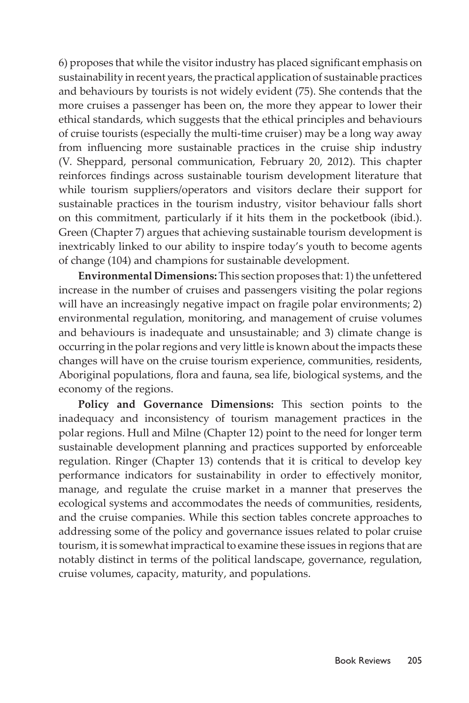6) proposes that while the visitor industry has placed significant emphasis on sustainability in recent years, the practical application of sustainable practices and behaviours by tourists is not widely evident (75). She contends that the more cruises a passenger has been on, the more they appear to lower their ethical standards, which suggests that the ethical principles and behaviours of cruise tourists (especially the multi-time cruiser) may be a long way away from influencing more sustainable practices in the cruise ship industry (V. Sheppard, personal communication, February 20, 2012). This chapter reinforces findings across sustainable tourism development literature that while tourism suppliers/operators and visitors declare their support for sustainable practices in the tourism industry, visitor behaviour falls short on this commitment, particularly if it hits them in the pocketbook (ibid.). Green (Chapter 7) argues that achieving sustainable tourism development is inextricably linked to our ability to inspire today's youth to become agents of change (104) and champions for sustainable development.

**Environmental Dimensions:** This section proposes that: 1) the unfettered increase in the number of cruises and passengers visiting the polar regions will have an increasingly negative impact on fragile polar environments; 2) environmental regulation, monitoring, and management of cruise volumes and behaviours is inadequate and unsustainable; and 3) climate change is occurring in the polar regions and very little is known about the impacts these changes will have on the cruise tourism experience, communities, residents, Aboriginal populations, flora and fauna, sea life, biological systems, and the economy of the regions.

**Policy and Governance Dimensions:** This section points to the inadequacy and inconsistency of tourism management practices in the polar regions. Hull and Milne (Chapter 12) point to the need for longer term sustainable development planning and practices supported by enforceable regulation. Ringer (Chapter 13) contends that it is critical to develop key performance indicators for sustainability in order to effectively monitor, manage, and regulate the cruise market in a manner that preserves the ecological systems and accommodates the needs of communities, residents, and the cruise companies. While this section tables concrete approaches to addressing some of the policy and governance issues related to polar cruise tourism, it is somewhat impractical to examine these issues in regions that are notably distinct in terms of the political landscape, governance, regulation, cruise volumes, capacity, maturity, and populations.